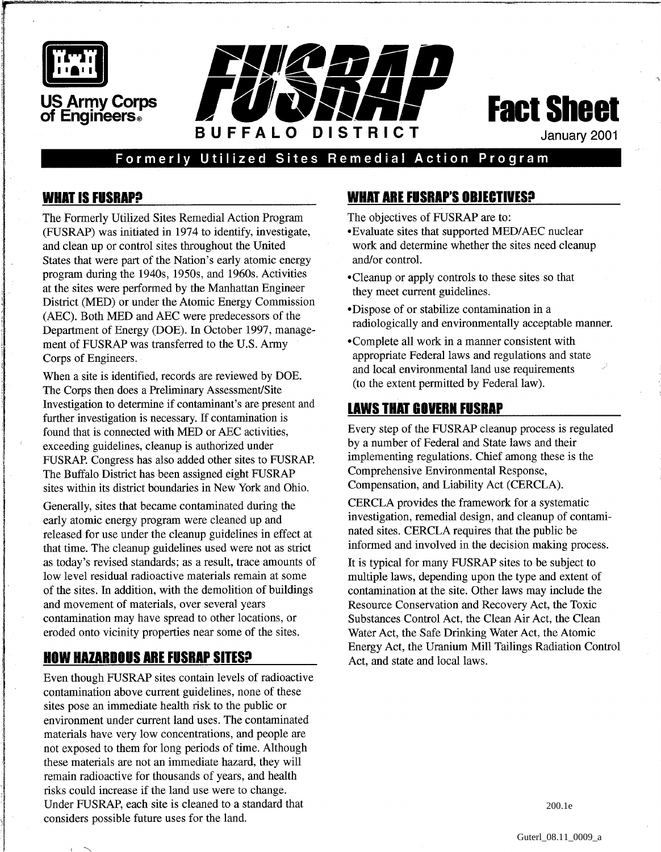



Formerly Utilized Sites Remedial Action Program

## **WHAT IS FUSRAP?**

The Formerly Utilized Sites Remedial Action Program (FUSRAP) was initiated in 1974 to identify, investigate, and clean up or control sites throughout the United States that were part of the Nation's early atomic energy program during the 1940s, 1950s, and 1960s. Activities at the sites were performed by the Manhattan Engineer District (MED) or under the Atomic Energy Commission (AEC). Both MED and AEC were predecessors of the Department of Energy (DOE). In October 1997, management of FUSRAP was transferred to the U.S. Army Corps of Engineers.

When a site is identified, records are reviewed by DOE. The Corps then does a Preliminary Assessment/Site<br>Investigation to determine if contaminant's are present and Investigation to determine if contaminant's are present and<br>
further investigation is necessary. If contamination is<br> **EVERAP Cleanup process** is regulated<br> **EVERAP Cleanup process** is regulated found that is connected with MED or AEC activities,<br>exceeding outdelines, cleanup is authorized under the process is regulated by a number of Federal and State laws and their exceeding guidelines, cleanup is authorized under<br>FIJSR AP congress has also added other sites to FIJSR AP implementing regulations. Chief among these is the FUSRAP. Congress has also added other sites to FUSRAP. Implementing regulations. Chief among the Buffalo District has been assigned eight FUSRAP. Comprehensive Environmental Response, The Buffalo District has been assigned eight FUSRAP Comprehensive Environmental Response,<br>sites within its district boundaries in New York and Ohio Compensation, and Liability Act (CERCLA). sites within its district boundaries in New York and Ohio.

Generally, sites that became contaminated during the early atomic energy program were cleaned up and released for use under the cleanup guidelines in effect at that time. The cleanup guidelines used were not as strict as today's revised standards; as a result, trace amounts of low level residual radioactive materials remain at some of the sites. In addition, with the demolition of buildings and movement of materials, over several years contamination may have spread to other locations, or eroded onto vicinity properties near some of the sites.

# **HOW HAZARDOUS ARE FUSRAP SITES?**

Even though FUSRAP sites contain levels of radioactive contamination above current guidelines, none of these sites pose an immediate health risk to the public or environment under current land uses. The contaminated materials have very low concentrations, and people are not exposed to them for long periods of time. Although these materials are not an immediate hazard, they will remain radioactive for thousands of years, and health risks could increase if the land use were to change. Under FUSRAP, each site is cleaned to a standard that considers possible future uses for the land.

# **WHAT ARE FUSRAP'S OBJECTIVES9**

The objectives of FUSRAP are to:

- \*Evaluate sites that supported MEDIAEC nuclear work and determine whether the sites need cleanup and/or control.
- \*Cleanup or apply controls to these sites so that they meet current guidelines.
- \*Dispose of or stabilize contamination in a radiologically and environmentally acceptable manner.
- \*Complete all work in a manner consistent with appropriate Federal laws and regulations and state and local environmental land use requirements (to the extent permitted by Federal law).

CERCLA provides the framework for a systematic investigation, remedial design, and cleanup of contaminated sites. CERCLA requires that the public be informed and involved in the decision making process.

It is typical for many FUSRAP sites to be subject to multiple laws, depending upon the type and extent of contamination at the site. Other laws may include the Resource Conservation and Recovery Act, the Toxic Substances Control Act, the Clean Air Act, the Clean Water Act, the Safe Drinking Water Act, the Atomic Energy Act, the Uranium Mill Tailings Radiation Control Act, and state and local laws.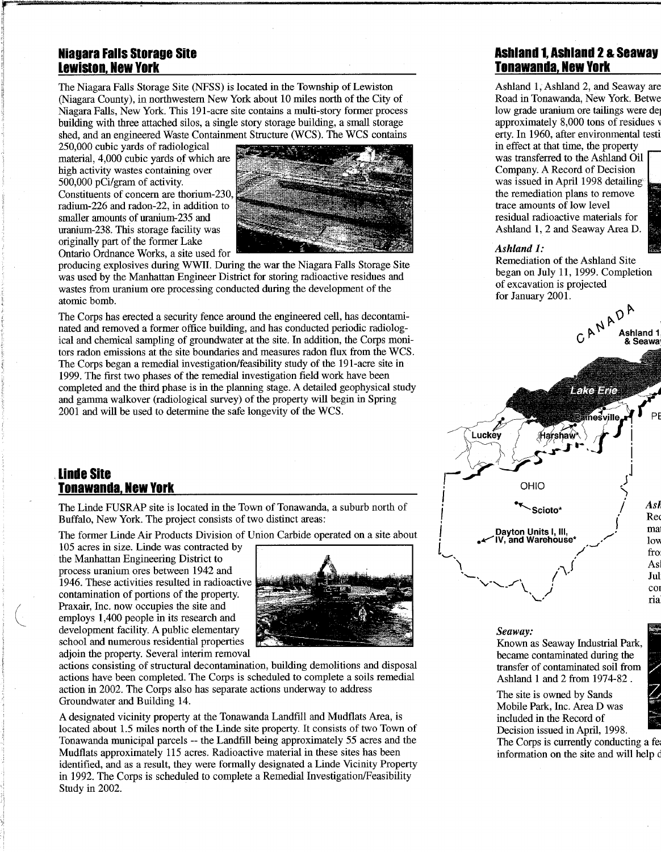#### **Niagara Falls Storage Site Lewiston, New York**

The Niagara Falls Storage Site (NFSS) is located in the Township of Lewiston (Niagara County), in northwestern New York about 10 miles north of the City of Niagara Falls, New York. This 191-acre site contains a multi-story former process building with three attached silos, a single story storage building, a small storage shed, and an engineered Waste Containment Structure (WCS). The WCS contains 250,000 cubic yards of radiological

material, 4,000 cubic vards of which are high activity wastes containing over 500,000 pCi/gram of activity. Constituents of concern are thorium-230. radium-226 and radon-22, in addition to smaller amounts of uranium-235 and uranium-238. This storage facility was originally part of the former Lake Ontario Ordnance Works, a site used for



producing explosives during WWII. During the war the Niagara Falls Storage Site was used by the Manhattan Engineer District for storing radioactive residues and wastes from uranium ore processing conducted during the development of the atomic bomb.

The Corps has erected a security fence around the engineered cell, has decontaminated and removed a former office building, and has conducted periodic radiological and chemical sampling of groundwater at the site. In addition, the Corps monitors radon emissions at the site boundaries and measures radon flux from the WCS. The Corps began a remedial investigation/feasibility study of the 191-acre site in 1999. The first two phases of the remedial investigation field work have been completed and the third phase is in the planning stage. A detailed geophysical study and gamma walkover (radiological survey) of the property will begin in Spring 2001 and will be used to determine the safe longevity of the WCS.

## **Ashland 1, Ashland 2** & **Seaway Tonawanda, New York**

Ashland 1, Ashland 2, and Seaway are Road in Tonawanda, New York. Betwe low grade uranium ore tailings were del approximately 8,000 tons of residues v erty. In 1960, after environmental testi in effect at that time, the property was transferred to the Ashland Oil Company. A Record of Decision was issued in April 1998 detailing the remediation plans to remove trace amounts of low level residual radioactive materials for Ashland 1, 2 and Seaway Area D.

#### *Ashland 1:*

Remediation of the Ashland Site began on July 11,1999. Completion of excavation is projected for January 2001.



#### **Linde Site Tonawanda, New York**

The Linde FUSRAP site is located in the Town of Tonawanda, a suburb north of Buffalo, New York. The project consists of two distinct areas:

The former Linde Air Products Division of Union Carbide operated on a site about

105 acres in size. Linde was contracted by the Manhattan Engineering District to process uranium ores between 1942 and 1946. These activities resulted in radioactive contamination of portions of the property. Praxair, Inc. now occupies the site and employs 1,400 people in its research and development facility. A public elementary school and numerous residential properties adioin the property. Several interim removal



actions consisting of structural decontamination, building demolitions and disposal actions have been completed. The Corps is scheduled to complete a soils remedial action in 2002. The Corps also has separate actions underway to address Groundwater and Building 14.

A designated vicinity property at the Tonawanda Landfill and Mudflats Area, is located about 1.5 miles north of the Linde site property. It consists of two Town of Tonawanda municipal parcels -- the Landfill being approximately 55 acres and the Mudflats approximately 115 acres. Radioactive material in these sites has been identified, and as a result, they were formally designated a Linde Vicinity Property in 1992. The Corps is scheduled to complete a Remedial Investigation/Feasibility Study in 2002.

#### **Seaway:**

Known as Seaway Industrial Park, became contaminated during the transfer of contaminated soil from Ashland 1 and 2 from 1974-82 .

The site is owned by Sands Mobile Park, Inc. Area D was included in the Record of Decision issued in April, 1998.

The Corps is currently conducting a fee information on the site and will help d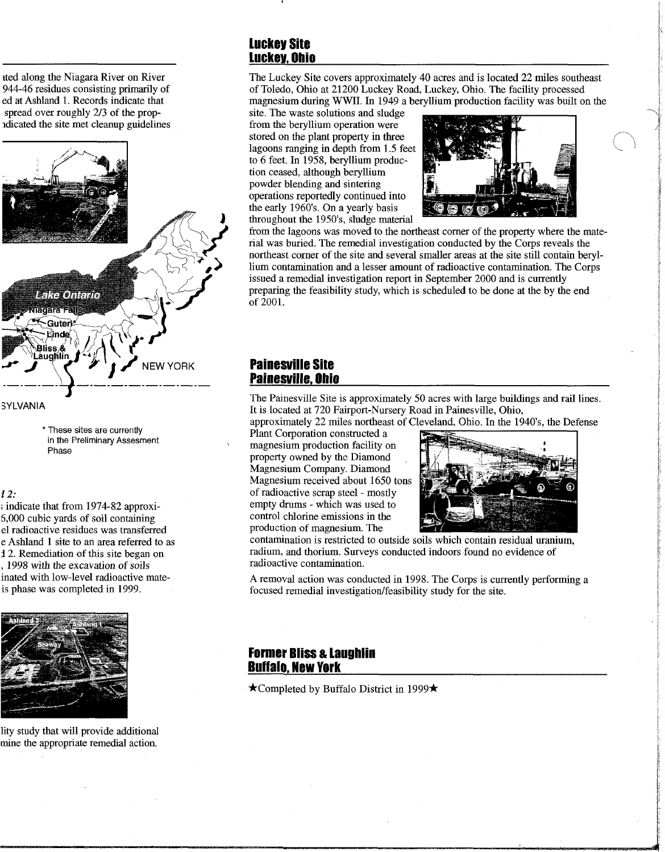ited along the Niagara River on River 944-46 residues consisting primarily of ed at Ashland 1. Records indicate that spread over roughly 2/3 of the propldicated the site met cleanup guidelines



\* These sites are currently in the Preliminary Assesment Phase

#### 12:

; indicate that from 1974-82 approxi-6,000 cubic yards of soil containing el radioactive residues was transferred e Ashland 1 site to an area referred to as 2. Remediation of this site began on , 1998 with the excavation of soils inated with low-level radioactive mateis phase was completed in 1999.



lity study that will provide additional mine the appropriate remedial action.

### **Luckey Site Luckey, Ohio**

The Luckey Site covers approximately 40 acres and is located 22 miles southeast of Toledo, Ohio at 21200 Luckey Road, Luckey, Ohio. The facility processed magnesium during WWII. In 1949 a beryllium production facility was built on the

site. The waste solutions and sludge from the beryllium operation were stored on the plant property in three lagoons ranging in depth from 1.5 feet to 6 feet. In 1958, beryllium production ceased, although beryllium powder blending and sintering operations reportedly continued into the early 1960's. On a yearly basis throughout the 1950's, sludge material



from the lagoons was moved to the northeast corner of the property where the material was buried. The remedial investigation conducted by the Corps reveals the northeast corner of the site and several smaller areas at the site still contain beryllium contamination and a lesser amount of radioactive contamination. The Corps issued a remedial investigation report in September 2000 and is currently preparing the feasibility study, which is scheduled to be done at the by the end of 2001.

#### **Painesville Site Painemille, Ohio**

The Painesville Site is approximately 50 acres with large buildings and rail lines. It is located at 720 Fairport-Nursery Road in Painesville, Ohio,

approximately 22 miles northeast of Cleveland, Ohio. In the 1940's, the Defense

Plant Corporation constructed a magnesium production facility on property owned by the Diamond<br>Magnesium Company. Diamond Magnesium received about 1650 tons of radioactive scrap steel - mostly empty drums - which was used to control chlorine emissions in the production of magnesium. The



contamination is restricted to outside soils which contain residual uranium, radium, and thorium. Surveys conducted indoors found no evidence of radioactive contamination.

A removal action was conducted in 1998. The Corps is currently performing a focused remedial investigation/feasibility study for the site.

#### **Former Bliss** & **Laughlin Buffalo, New York**

 $\star$ Completed by Buffalo District in 1999 $\star$